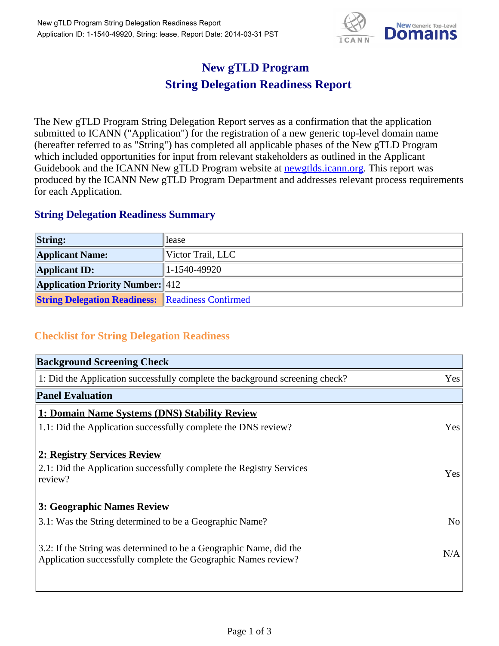

## **New gTLD Program String Delegation Readiness Report**

The New gTLD Program String Delegation Report serves as a confirmation that the application submitted to ICANN ("Application") for the registration of a new generic top-level domain name (hereafter referred to as "String") has completed all applicable phases of the New gTLD Program which included opportunities for input from relevant stakeholders as outlined in the Applicant Guidebook and the ICANN New gTLD Program website at newgtlds.icann.org. This report was produced by the ICANN New gTLD Program Department and addresses relevant process requirements for each Application.

## **String Delegation Readiness Summary**

| <b>String:</b>                                          | llease            |
|---------------------------------------------------------|-------------------|
| <b>Applicant Name:</b>                                  | Victor Trail, LLC |
| <b>Applicant ID:</b>                                    | $ 1-1540-49920 $  |
| <b>Application Priority Number: 412</b>                 |                   |
| <b>String Delegation Readiness: Readiness Confirmed</b> |                   |

## **Checklist for String Delegation Readiness**

| <b>Background Screening Check</b>                                                                                                    |                |
|--------------------------------------------------------------------------------------------------------------------------------------|----------------|
| 1: Did the Application successfully complete the background screening check?                                                         | Yes            |
| <b>Panel Evaluation</b>                                                                                                              |                |
| 1: Domain Name Systems (DNS) Stability Review                                                                                        |                |
| 1.1: Did the Application successfully complete the DNS review?                                                                       | Yes            |
| 2: Registry Services Review                                                                                                          |                |
| 2.1: Did the Application successfully complete the Registry Services<br>review?                                                      | Yes            |
| 3: Geographic Names Review                                                                                                           |                |
| 3.1: Was the String determined to be a Geographic Name?                                                                              | N <sub>o</sub> |
| 3.2: If the String was determined to be a Geographic Name, did the<br>Application successfully complete the Geographic Names review? | N/A            |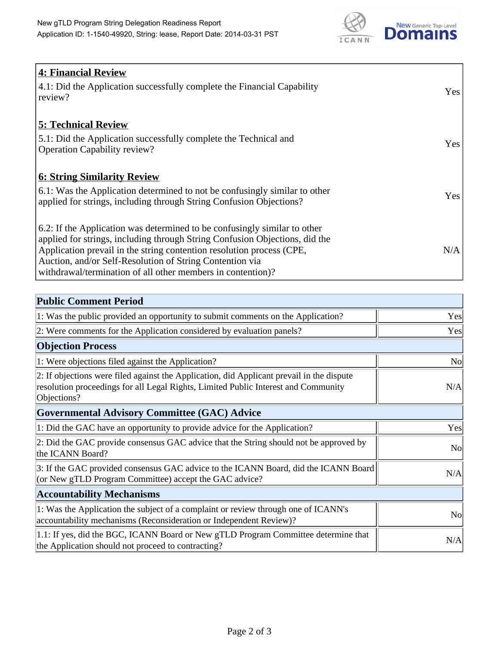

| 4: Financial Review                                                                |            |
|------------------------------------------------------------------------------------|------------|
| $\vert$ 4.1: Did the Application successfully complete the Financial Capability    | Yes        |
| review?                                                                            |            |
| <b>5: Technical Review</b>                                                         |            |
| 5.1: Did the Application successfully complete the Technical and                   | <b>Yes</b> |
| <b>Operation Capability review?</b>                                                |            |
|                                                                                    |            |
| <b>6: String Similarity Review</b>                                                 |            |
| $\vert$ 6.1: Was the Application determined to not be confusingly similar to other | Yes        |
| applied for strings, including through String Confusion Objections?                |            |
| 6.2: If the Application was determined to be confusingly similar to other          |            |
| applied for strings, including through String Confusion Objections, did the        |            |
| Application prevail in the string contention resolution process (CPE,              | N/A        |
| Auction, and/or Self-Resolution of String Contention via                           |            |
| withdrawal/termination of all other members in contention)?                        |            |

| <b>Public Comment Period</b>                                                                                                                                                                   |                |
|------------------------------------------------------------------------------------------------------------------------------------------------------------------------------------------------|----------------|
| 1: Was the public provided an opportunity to submit comments on the Application?                                                                                                               | Yes            |
| 2: Were comments for the Application considered by evaluation panels?                                                                                                                          | Yes            |
| <b>Objection Process</b>                                                                                                                                                                       |                |
| 1: Were objections filed against the Application?                                                                                                                                              | <b>No</b>      |
| 2: If objections were filed against the Application, did Applicant prevail in the dispute<br>resolution proceedings for all Legal Rights, Limited Public Interest and Community<br>Objections? | N/A            |
| Governmental Advisory Committee (GAC) Advice                                                                                                                                                   |                |
| 1: Did the GAC have an opportunity to provide advice for the Application?                                                                                                                      | Yes            |
| 2: Did the GAC provide consensus GAC advice that the String should not be approved by<br>the ICANN Board?                                                                                      | <b>No</b>      |
| 3: If the GAC provided consensus GAC advice to the ICANN Board, did the ICANN Board<br>(or New gTLD Program Committee) accept the GAC advice?                                                  | N/A            |
| <b>Accountability Mechanisms</b>                                                                                                                                                               |                |
| 1: Was the Application the subject of a complaint or review through one of ICANN's<br>accountability mechanisms (Reconsideration or Independent Review)?                                       | N <sub>0</sub> |
| 1.1: If yes, did the BGC, ICANN Board or New gTLD Program Committee determine that<br>the Application should not proceed to contracting?                                                       | N/A            |